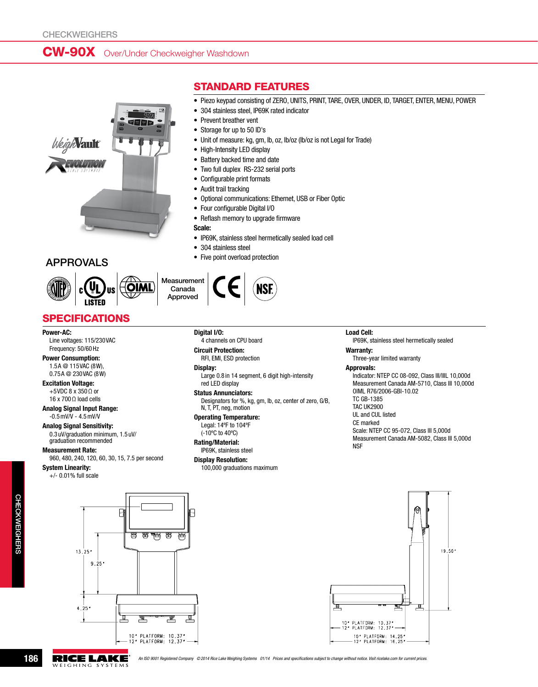# CW-90X Over/Under Checkweigher Washdown





Measurement Canada Approved

# **SPECIFICATIONS**

Power-AC: Line voltages: 115/230VAC Frequency: 50/60Hz

#### Power Consumption: 1.5A @ 115VAC (8W), 0.75A @ 230VAC (8W)

Excitation Voltage:

+5VDC 8 x 350Ω or 16 x 700Ω load cells

Analog Signal Input Range: -0.5mV/V - 4.5mV/V

Analog Signal Sensitivity: 0.3 uV/graduation minimum, 1.5 uV/ graduation recommended

#### Measurement Rate:

960, 480, 240, 120, 60, 30, 15, 7.5 per second

System Linearity:

+/- 0.01% full scale



## Standard Features

- Piezo keypad consisting of ZERO, UNITS, PRINT, TARE, OVER, UNDER, ID, TARGET, ENTER, MENU, POWER
- 304 stainless steel, IP69K rated indicator
- Prevent breather vent
- Storage for up to 50 ID's
- • Unit of measure: kg, gm, lb, oz, lb/oz (lb/oz is not Legal for Trade)
- High-Intensity LED display
- Battery backed time and date
- Two full duplex RS-232 serial ports
- • Configurable print formats
- Audit trail tracking
- • Optional communications: Ethernet, USB or Fiber Optic
- Four configurable Digital I/O
- • Reflash memory to upgrade firmware
- Scale:
- • IP69K, stainless steel hermetically sealed load cell
- 304 stainless steel
- **APPROVALS** Five point overload protection



#### Digital I/O:

4 channels on CPU board

Circuit Protection: RFI, EMI, ESD protection

#### Display:

Large 0.8 in 14 segment, 6 digit high-intensity red LED display

#### Status Annunciators:

Designators for %, kg, gm, lb, oz, center of zero, G/B, N, T, PT, neg, motion

#### Operating Temperature: Legal: 14ºF to 104ºF

(-10ºC to 40ºC) Rating/Material:

IP69K, stainless steel

Display Resolution: 100,000 graduations maximum

#### Load Cell:

IP69K, stainless steel hermetically sealed

### Warranty:

Three-year limited warranty

#### Approvals:

Indicator: NTEP CC 08-092, Class III/IIIL 10,000d Measurement Canada AM-5710, Class III 10,000d OIML R76/2006-GBI-10.02 TC GB-1385 TAC UK2900 UL and CUL listed CE marked Scale: NTEP CC 95-072, Class III 5,000d Measurement Canada AM-5082, Class III 5,000d **NSF** 





**186 AN ISO 9001 Registered Company © 2014 Rice Lake Weighing Systems 01/14 Prices and specifications subject to change without notice. Visit ricelake.com for current prices. WEIGHING SYSTEMS** 

요<br>H

ckweighers